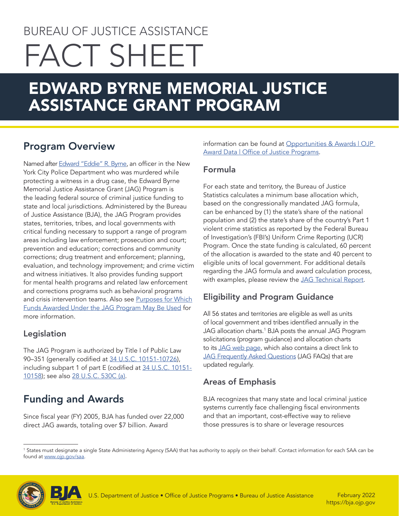# BUREAU OF JUSTICE ASSISTANCE FACT SHEET

## EDWARD BYRNE MEMORIAL JUSTICE ASSISTANCE GRANT PROGRAM

## Program Overview

Named after [Edward "Eddie" R. Byrne](https://bja.ojp.gov/program/jag/about-officer-byrne), an officer in the New York City Police Department who was murdered while protecting a witness in a drug case, the Edward Byrne Memorial Justice Assistance Grant (JAG) Program is the leading federal source of criminal justice funding to state and local jurisdictions. Administered by the Bureau of Justice Assistance (BJA), the JAG Program provides states, territories, tribes, and local governments with critical funding necessary to support a range of program areas including law enforcement; prosecution and court; prevention and education; corrections and community corrections; drug treatment and enforcement; planning, evaluation, and technology improvement; and crime victim and witness initiatives. It also provides funding support for mental health programs and related law enforcement and corrections programs such as behavioral programs and crisis intervention teams. Also see [Purposes for Which](https://bja.ojp.gov/sites/g/files/xyckuh186/files/media/document/jag-use-of-funds.pdf) [Funds Awarded Under the JAG Program May Be Used](https://bja.ojp.gov/sites/g/files/xyckuh186/files/media/document/jag-use-of-funds.pdf) for more information.

#### Legislation

The JAG Program is authorized by Title I of Public Law 90–351 (generally codified at [34 U.S.C. 10151-10726\)](https://uscode.house.gov/view.xhtml?hl=false&edition=prelim&req=granuleid%3AUSC-prelim-title34-chapter101&num=0&saved=L3ByZWxpbUB0aXRsZTM0L3N1YnRpdGxlMS9jaGFwdGVyMTAxL3N1YmNoYXB0ZXI1L3BhcnRB%7CZ3JhbnVsZWlkOlVTQy1wcmVsaW0tdGl0bGUzNC1jaGFwdGVyMTAxLXN1YmNoYXB0ZXI1LXBhcnRB%7C%7C%7C0%7Cfalse%7Cprelimhttp://34 U.S.C. 10151-10726), including subpart 1 of part E (codified at [34 U.S.C. 10151-](https://uscode.house.gov/view.xhtml?path=/prelim@title34/subtitle1/chapter101/subchapter5/partA&edition=prelim) [10158](https://uscode.house.gov/view.xhtml?path=/prelim@title34/subtitle1/chapter101/subchapter5/partA&edition=prelim)); see also [28 U.S.C. 530C \(a\)](https://uscode.house.gov/view.xhtml?req=granuleid:USC-prelim-title28-section530C&num=0&edition=prelim).

## Funding and Awards

Since fiscal year (FY) 2005, BJA has funded over 22,000 direct JAG awards, totaling over \$7 billion. Award

information can be found at [Opportunities & Awards | OJP](https://www.ojp.gov/funding/explore/ojp-award-data)  [Award Data | Office of Justice Programs](https://www.ojp.gov/funding/explore/ojp-award-data).

#### Formula

For each state and territory, the Bureau of Justice Statistics calculates a minimum base allocation which, based on the congressionally mandated JAG formula, can be enhanced by (1) the state's share of the national population and (2) the state's share of the country's Part 1 violent crime statistics as reported by the Federal Bureau of Investigation's (FBI's) Uniform Crime Reporting (UCR) Program. Once the state funding is calculated, 60 percent of the allocation is awarded to the state and 40 percent to eligible units of local government. For additional details regarding the JAG formula and award calculation process, with examples, please review the [JAG Technical Repor](https://bjs.ojp.gov/sites/g/files/xyckuh236/files/media/document/jagp20.pdf)t.

#### Eligibility and Program Guidance

All 56 states and territories are eligible as well as units of local government and tribes identified annually in the JAG allocation charts.<sup>1</sup> BJA posts the annual JAG Program solicitations (program guidance) and allocation charts to its [JAG web page,](https://bja.ojp.gov/program/jag/overview) which also contains a direct link to [JAG Frequently Asked Questions](https://bja.ojp.gov/sites/g/files/xyckuh186/files/media/document/jag-faqs.pdf) (JAG FAQs) that are updated regularly.

#### Areas of Emphasis

BJA recognizes that many state and local criminal justice systems currently face challenging fiscal environments and that an important, cost-effective way to relieve those pressures is to share or leverage resources

<sup>1</sup> States must designate a single State Administering Agency (SAA) that has authority to apply on their behalf. Contact information for each SAA can be found at [www.ojp.gov/saa](http://www.ojp.gov/saa).



February 2022 <https://bja.ojp.gov>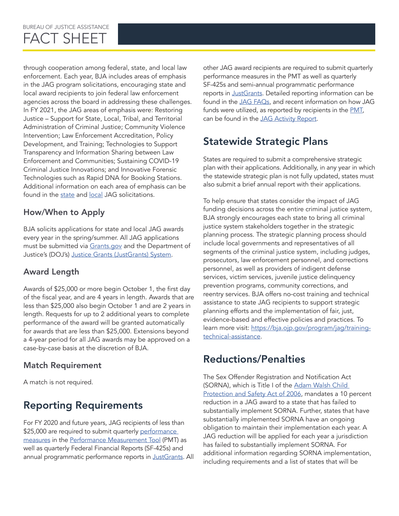through cooperation among federal, state, and local law enforcement. Each year, BJA includes areas of emphasis in the JAG program solicitations, encouraging state and local award recipients to join federal law enforcement agencies across the board in addressing these challenges. In FY 2021, the JAG areas of emphasis were: Restoring Justice – Support for State, Local, Tribal, and Territorial Administration of Criminal Justice; Community Violence Intervention; Law Enforcement Accreditation, Policy Development, and Training; Technologies to Support Transparency and Information Sharing between Law Enforcement and Communities; Sustaining COVID-19 Criminal Justice Innovations; and Innovative Forensic Technologies such as Rapid DNA for Booking Stations. Additional information on each area of emphasis can be found in the [state](https://urldefense.us/v3/__https:/protect2.fireeye.com/v1/url?k=3b17ea29-648cd2d9-3b10cecc-0cc47adc5fd8-cf98f729b48bcf59&q=1&e=344b80d6-d8b1-406e-9fa2-b3a82a14ce62&u=https*3A*2F*2Furldefense.us*2Fv3*2F__https*3A*2Fbja.ojp.gov*2Fsites*2Fg*2Ffiles*2Fxyckuh186*2Ffiles*2Fmedia*2Fdocument*2FO-BJA-2021-135005.pdf__*3B*21*21Az_Xe1LHMyBq19w*21a0OYFz3DNpD47JiadhcFpZ7RKw7O7zqYfwnV2HrarjHzmHkCBEp6MrSipB2rY-LlsIOmFzY*24__;JSUlJSUlJSUlJSUlJSUlJSUlJSU!!Az_Xe1LHMyBq19w!cV0T4MSi5ScTMeaXpfdlAAQQ2NOXK7lpZNycYUrQ9-599p-LWMZhXEfpoGmYl-2JqpGWDEU$) and [local](https://bja.ojp.gov/sites/g/files/xyckuh186/files/media/document/O-BJA-2021-135004.pdf) JAG solicitations.

#### How/When to Apply

BJA solicits applications for state and local JAG awards every year in the spring/summer. All JAG applications must be submitted via [Grants.gov](https://www.grants.gov/) and the Department of Justice's (DOJ's) [Justice Grants \(JustGrants\) System](https://justicegrants.usdoj.gov/).

#### Award Length

Awards of \$25,000 or more begin October 1, the first day of the fiscal year, and are 4 years in length. Awards that are less than \$25,000 also begin October 1 and are 2 years in length. Requests for up to 2 additional years to complete performance of the award will be granted automatically for awards that are less than \$25,000. Extensions beyond a 4-year period for all JAG awards may be approved on a case-by-case basis at the discretion of BJA.

#### Match Requirement

A match is not required.

## Reporting Requirements

For FY 2020 and future years, JAG recipients of less than \$25,000 are required to submit quarterly [performance](https://bjapmt.ojp.gov/help/jagdocs.html) [measures](https://bjapmt.ojp.gov/help/jagdocs.html) in the [Performance Measurement Tool](https://bjapmt.ojp.gov/) (PMT) as well as quarterly Federal Financial Reports (SF-425s) and annual programmatic performance reports in [JustGrants.](https://justgrants.usdoj.gov/) All other JAG award recipients are required to submit quarterly performance measures in the PMT as well as quarterly SF-425s and semi-annual programmatic performance reports in [JustGrants](https://justgrants.usdoj.gov/prweb/PRAuth/app/default/3yZ6Bxxi_loDx9mtxROYDRf4WldTauX6Qr2cY7XhWAc*/!STANDARD). Detailed reporting information can be found in the [JAG FAQs](https://bja.ojp.gov/sites/g/files/xyckuh186/files/media/document/jag-faqs.pdf), and recent information on how JAG funds were utilized, as reported by recipients in the [PMT](https://bjapmt.ojp.gov/), can be found in the [JAG Activity Report](https://bja.ojp.gov/sites/g/files/xyckuh186/files/media/document/JAG-Activity-Report-FY-2020.pdf).

## Statewide Strategic Plans

States are required to submit a comprehensive strategic plan with their applications. Additionally, in any year in which the statewide strategic plan is not fully updated, states must also submit a brief annual report with their applications.

To help ensure that states consider the impact of JAG funding decisions across the entire criminal justice system, BJA strongly encourages each state to bring all criminal justice system stakeholders together in the strategic planning process. The strategic planning process should include local governments and representatives of all segments of the criminal justice system, including judges, prosecutors, law enforcement personnel, and corrections personnel, as well as providers of indigent defense services, victim services, juvenile justice delinquency prevention programs, community corrections, and reentry services. BJA offers no-cost training and technical assistance to state JAG recipients to support strategic planning efforts and the implementation of fair, just, evidence-based and effective policies and practices. To learn more visit: [https://bja.ojp.gov/program/jag/training](https://bja.ojp.gov/program/jag/training-technical-assistance)[technical-assistance](https://bja.ojp.gov/program/jag/training-technical-assistance).

## Reductions/Penalties

The Sex Offender Registration and Notification Act (SORNA), which is Title I of the Adam Walsh Child [Protection and Safety Act of 2006](https://uscode.house.gov/view.xhtml?path=/prelim%40title34/subtitle2/chapter209&edition=prelim), mandates a 10 percent reduction in a JAG award to a state that has failed to substantially implement SORNA. Further, states that have substantially implemented SORNA have an ongoing obligation to maintain their implementation each year. A JAG reduction will be applied for each year a jurisdiction has failed to substantially implement SORNA. For additional information regarding SORNA implementation, including requirements and a list of states that will be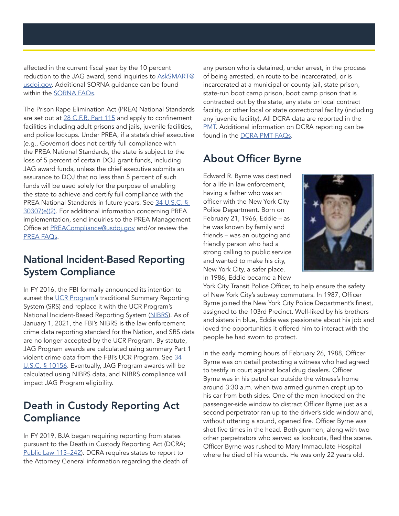affected in the current fiscal year by the 10 percent reduction to the JAG award, send inquiries to [AskSMART@](mailto:AskSMART%40usdoj.gov.?subject=) [usdoj.gov](mailto:AskSMART%40usdoj.gov.?subject=). Additional SORNA guidance can be found within the [SORNA FAQs](https://smart.ojp.gov/faqs).

The Prison Rape Elimination Act (PREA) National Standards are set out at [28 C.F.R. Part 115](https://www.ecfr.gov/cgi-bin/text-idx?node=pt28.2.115&rgn=div5) and apply to confinement facilities including adult prisons and jails, juvenile facilities, and police lockups. Under PREA, if a state's chief executive (e.g., Governor) does not certify full compliance with the PREA National Standards, the state is subject to the loss of 5 percent of certain DOJ grant funds, including JAG award funds, unless the chief executive submits an assurance to DOJ that no less than 5 percent of such funds will be used solely for the purpose of enabling the state to achieve and certify full compliance with the PREA National Standards in future years. See [34 U.S.C. §](https://uscode.house.gov/view.xhtml?path=/prelim@title34/subtitle3/chapter303&edition=prelim)  [30307\(e\)\(2\)](https://uscode.house.gov/view.xhtml?path=/prelim@title34/subtitle3/chapter303&edition=prelim). For additional information concerning PREA implementation, send inquiries to the PREA Management Office at [PREACompliance@usdoj.gov](mailto:PREACompliance%40usdoj.gov?subject=) and/or review the [PREA FAQs](https://bja.ojp.gov/sites/g/files/xyckuh186/files/media/document/JAG-PREA-FAQ_0.pdf).

#### National Incident-Based Reporting System Compliance

In FY 2016, the FBI formally announced its intention to sunset the [UCR Program](https://www.fbi.gov/services/cjis/ucr)'s traditional Summary Reporting System (SRS) and replace it with the UCR Program's National Incident-Based Reporting System [\(NIBRS\)](https://www.fbi.gov/services/cjis/ucr/nibrs). As of January 1, 2021, the FBI's NIBRS is the law enforcement crime data reporting standard for the Nation, and SRS data are no longer accepted by the UCR Program. By statute, JAG Program awards are calculated using summary Part 1 violent crime data from the FBI's UCR Program. See [34](https://uscode.house.gov/view.xhtml?path=/prelim@title34/subtitle1/chapter101/subchapter5/partA&edition=prelim)  [U.S.C. § 10156.](https://uscode.house.gov/view.xhtml?path=/prelim@title34/subtitle1/chapter101/subchapter5/partA&edition=prelim) Eventually, JAG Program awards will be calculated using NIBRS data, and NIBRS compliance will impact JAG Program eligibility.

## Death in Custody Reporting Act **Compliance**

In FY 2019, BJA began requiring reporting from states pursuant to the Death in Custody Reporting Act (DCRA; Public Law 113-242). DCRA requires states to report to the Attorney General information regarding the death of any person who is detained, under arrest, in the process of being arrested, en route to be incarcerated, or is incarcerated at a municipal or county jail, state prison, state-run boot camp prison, boot camp prison that is contracted out by the state, any state or local contract facility, or other local or state correctional facility (including any juvenile facility). All DCRA data are reported in the **[PMT](https://bjapmt.ojp.gov/).** Additional information on DCRA reporting can be found in the [DCRA PMT FAQs](https://bja.ojp.gov/performance-measures/DCRA-Reporting-Guidance-FAQs.pdf).

## About Officer Byrne

Edward R. Byrne was destined for a life in law enforcement, having a father who was an officer with the New York City Police Department. Born on February 21, 1966, Eddie – as he was known by family and friends – was an outgoing and friendly person who had a strong calling to public service and wanted to make his city, New York City, a safer place. In 1986, Eddie became a New



York City Transit Police Officer, to help ensure the safety of New York City's subway commuters. In 1987, Officer Byrne joined the New York City Police Department's finest, assigned to the 103rd Precinct. Well-liked by his brothers and sisters in blue, Eddie was passionate about his job and loved the opportunities it offered him to interact with the people he had sworn to protect.

In the early morning hours of February 26, 1988, Officer Byrne was on detail protecting a witness who had agreed to testify in court against local drug dealers. Officer Byrne was in his patrol car outside the witness's home around 3:30 a.m. when two armed gunmen crept up to his car from both sides. One of the men knocked on the passenger-side window to distract Officer Byrne just as a second perpetrator ran up to the driver's side window and, without uttering a sound, opened fire. Officer Byrne was shot five times in the head. Both gunmen, along with two other perpetrators who served as lookouts, fled the scene. Officer Byrne was rushed to Mary Immaculate Hospital where he died of his wounds. He was only 22 years old.